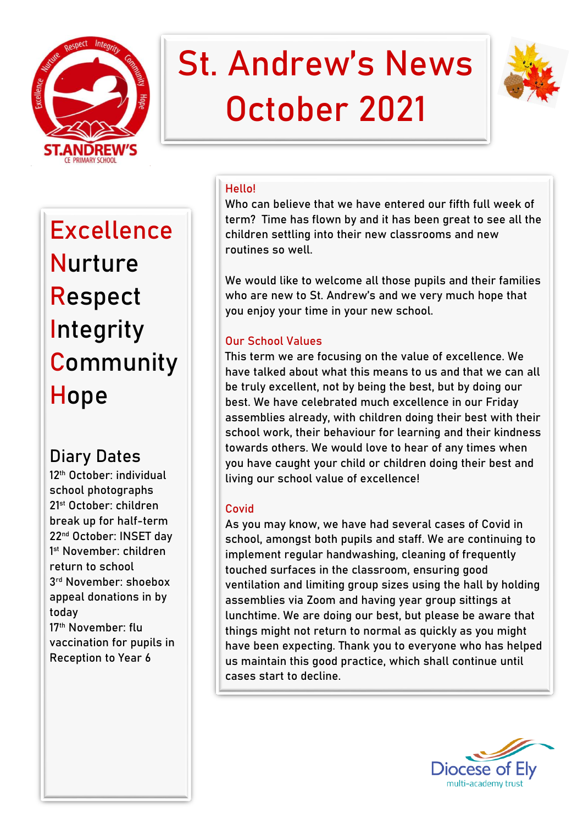

# St. Andrew's News October 2021



Excellence Nurture **Respect** Integrity **Community Hope** 

# **Diary Dates**

12<sup>th</sup> October: individual school photographs 21st October: children break up for half-term 22nd October: INSET day 1 st November: children return to school 3 rd November: shoebox appeal donations in by today 17<sup>th</sup> November: flu vaccination for pupils in Reception to Year 6

# **Hello!**

Who can believe that we have entered our fifth full week of term? Time has flown by and it has been great to see all the children settling into their new classrooms and new routines so well.

We would like to welcome all those pupils and their families who are new to St. Andrew's and we very much hope that you enjoy your time in your new school.

## **Our School Values**

This term we are focusing on the value of excellence. We have talked about what this means to us and that we can **all**  be truly excellent, not by being the best, but by doing our best. We have celebrated much excellence in our Friday assemblies already, with children doing their best with their school work, their behaviour for learning and their kindness towards others. We would love to hear of any times when you have caught your child or children doing their best and living our school value of excellence!

### **Covid**

As you may know, we have had several cases of Covid in school, amongst both pupils and staff. We are continuing to implement regular handwashing, cleaning of frequently touched surfaces in the classroom, ensuring good ventilation and limiting group sizes using the hall by holding assemblies via Zoom and having year group sittings at lunchtime. We are doing our best, but please be aware that things might not return to normal as quickly as you might have been expecting. Thank you to everyone who has helped us maintain this good practice, which shall continue until cases start to decline.